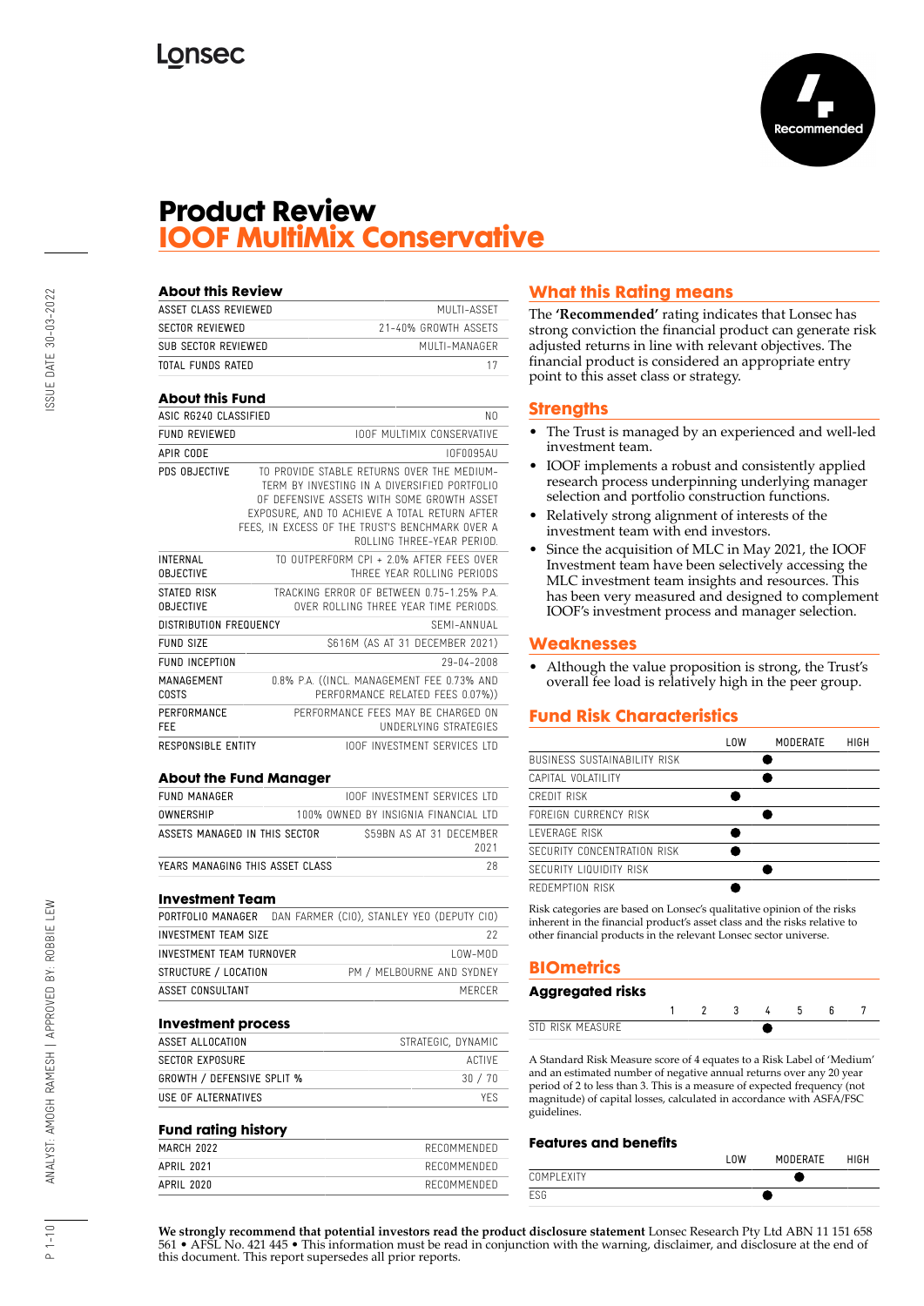

## **Product Review IOOF MultiMix Conservative**

| <b>About this Review</b>            |                                                                                                                                                                                                                                                                            |            |
|-------------------------------------|----------------------------------------------------------------------------------------------------------------------------------------------------------------------------------------------------------------------------------------------------------------------------|------------|
| ASSET CLASS REVIEWED                | MULTI-ASSET                                                                                                                                                                                                                                                                |            |
| <b>SECTOR REVIEWED</b>              | 21-40% GROWTH ASSETS                                                                                                                                                                                                                                                       |            |
| SUB SECTOR REVIEWED                 | MIII TI-MANAGER                                                                                                                                                                                                                                                            |            |
| TOTAL FUNDS RATED                   |                                                                                                                                                                                                                                                                            | 17         |
| <b>About this Fund</b>              |                                                                                                                                                                                                                                                                            |            |
| ASIC RG240 CLASSIFIED               |                                                                                                                                                                                                                                                                            | NΩ         |
| <b>FUND REVIEWED</b>                | <b>IOOF MULTIMIX CONSERVATIVE</b>                                                                                                                                                                                                                                          |            |
| APIR CODE                           |                                                                                                                                                                                                                                                                            | IOF0095AU  |
| PDS OBJECTIVE                       | TO PROVIDE STABLE RETURNS OVER THE MEDIUM-<br>TERM BY INVESTING IN A DIVERSIFIED PORTFOLIO<br>OF DEFENSIVE ASSETS WITH SOME GROWTH ASSET<br>EXPOSURE. AND TO ACHIEVE A TOTAL RETURN AFTER<br>FEES. IN EXCESS OF THE TRUST'S BENCHMARK OVER A<br>ROLLING THREE-YEAR PERIOD. |            |
| <b>INTERNAL</b><br><b>OBJECTIVE</b> | TO OUTPERFORM CPI + 2.0% AFTER FFFS OVER<br>THREE YEAR ROLLING PERIODS                                                                                                                                                                                                     |            |
| STATED RISK<br><b>OBJECTIVE</b>     | TRACKING FRROR OF BETWEEN 0.75-1.25% P.A.<br>OVER ROLLING THREE YEAR TIME PERIODS.                                                                                                                                                                                         |            |
| <b>DISTRIBUTION FREQUENCY</b>       | SFMI-ANNUAI                                                                                                                                                                                                                                                                |            |
| FUND SIZE                           | \$616M (AS AT 31 DECEMBER 2021)                                                                                                                                                                                                                                            |            |
| <b>FUND INCEPTION</b>               |                                                                                                                                                                                                                                                                            | 29-04-2008 |
| MANAGEMENT<br>COSTS                 | 0.8% P.A. ((INCL. MANAGEMENT FEE 0.73% AND<br>PERFORMANCE RELATED FEES 0.07%))                                                                                                                                                                                             |            |
| PERFORMANCE<br><b>FFF</b>           | PERFORMANCE FFFS MAY BE CHARGED ON<br>UNDERLYING STRATEGIES                                                                                                                                                                                                                |            |
| <b>RESPONSIBLE ENTITY</b>           | <b>IOOF INVESTMENT SERVICES ITD</b>                                                                                                                                                                                                                                        |            |
|                                     |                                                                                                                                                                                                                                                                            |            |

#### **About the Fund Manager**

| FUND MANAGER                    | IODE INVESTMENT SERVICES LTD         |      |
|---------------------------------|--------------------------------------|------|
| OWNERSHIP                       | 100% OWNED BY INSIGNIA FINANCIAL LTD |      |
| ASSETS MANAGED IN THIS SECTOR   | S59BN AS AT 31 DECEMBER              | 2021 |
| YEARS MANAGING THIS ASSET CLASS |                                      |      |

#### **Investment Team**

|                             | <b>PORTFOLIO MANAGER</b> DAN FARMER (CIO), STANLEY YEO (DEPUTY CIO) |
|-----------------------------|---------------------------------------------------------------------|
| <b>INVESTMENT TEAM SIZE</b> | 22                                                                  |
| INVESTMENT TEAM TURNOVER    | $10W-M0D$                                                           |
| STRUCTURE / LOCATION        | PM / MELBOURNE AND SYDNEY                                           |
| ASSET CONSULTANT            | MERCER                                                              |

#### **Investment process**

| ASSET ALLOCATION                  | STRATEGIC, DYNAMIC |
|-----------------------------------|--------------------|
| SECTOR EXPOSURE                   | ACTIVE             |
| <b>GROWTH / DEFENSIVE SPLIT %</b> | 30 / 70            |
| USE OF ALTERNATIVES               | YFS.               |

#### **Fund rating history**

| . .        |             |
|------------|-------------|
| MARCH 2022 | RECOMMENDED |
| APRIL 2021 | RECOMMENDED |
| APRIL 2020 | RECOMMENDED |

## **What this Rating means**

The **'Recommended'** rating indicates that Lonsec has strong conviction the financial product can generate risk adjusted returns in line with relevant objectives. The financial product is considered an appropriate entry point to this asset class or strategy.

#### **Strengths**

- The Trust is managed by an experienced and well-led investment team.
- IOOF implements a robust and consistently applied research process underpinning underlying manager selection and portfolio construction functions.
- Relatively strong alignment of interests of the investment team with end investors.
- Since the acquisition of MLC in May 2021, the IOOF Investment team have been selectively accessing the MLC investment team insights and resources. This has been very measured and designed to complement IOOF's investment process and manager selection.

#### **Weaknesses**

• Although the value proposition is strong, the Trust's overall fee load is relatively high in the peer group.

## **Fund Risk Characteristics**

|                              | l OW | <b>MODERATE</b> | HIGH |
|------------------------------|------|-----------------|------|
| BUSINESS SUSTAINABILITY RISK |      |                 |      |
| CAPITAL VOLATILITY           |      |                 |      |
| CREDIT RISK                  |      |                 |      |
| FOREIGN CURRENCY RISK        |      |                 |      |
| <b>I FVERAGE RISK</b>        |      |                 |      |
| SECURITY CONCENTRATION RISK  |      |                 |      |
| SECURITY LIQUIDITY RISK      |      |                 |      |
| REDEMPTION RISK              |      |                 |      |
|                              |      |                 |      |

Risk categories are based on Lonsec's qualitative opinion of the risks inherent in the financial product's asset class and the risks relative to other financial products in the relevant Lonsec sector universe.

## **BIOmetrics**

| Aggregated risks |  |  |  |  |
|------------------|--|--|--|--|
|                  |  |  |  |  |
| STD RISK MEASURE |  |  |  |  |

A Standard Risk Measure score of 4 equates to a Risk Label of 'Medium' and an estimated number of negative annual returns over any 20 year period of 2 to less than 3. This is a measure of expected frequency (not magnitude) of capital losses, calculated in accordance with ASFA/FSC guidelines.

#### **Features and benefits**

|            | ' UM | <b>MODERATE</b> | <b>HIGH</b> |
|------------|------|-----------------|-------------|
| COMPLEXITY |      |                 |             |
| ESG        |      |                 |             |

**We strongly recommend that potential investors read the product disclosure statement** Lonsec Research Pty Ltd ABN 11 151 658 561 • AFSL No. 421 445 • This information must be read in conjunction with the warning, disclaimer, and disclosure at the end of this document. This report supersedes all prior reports.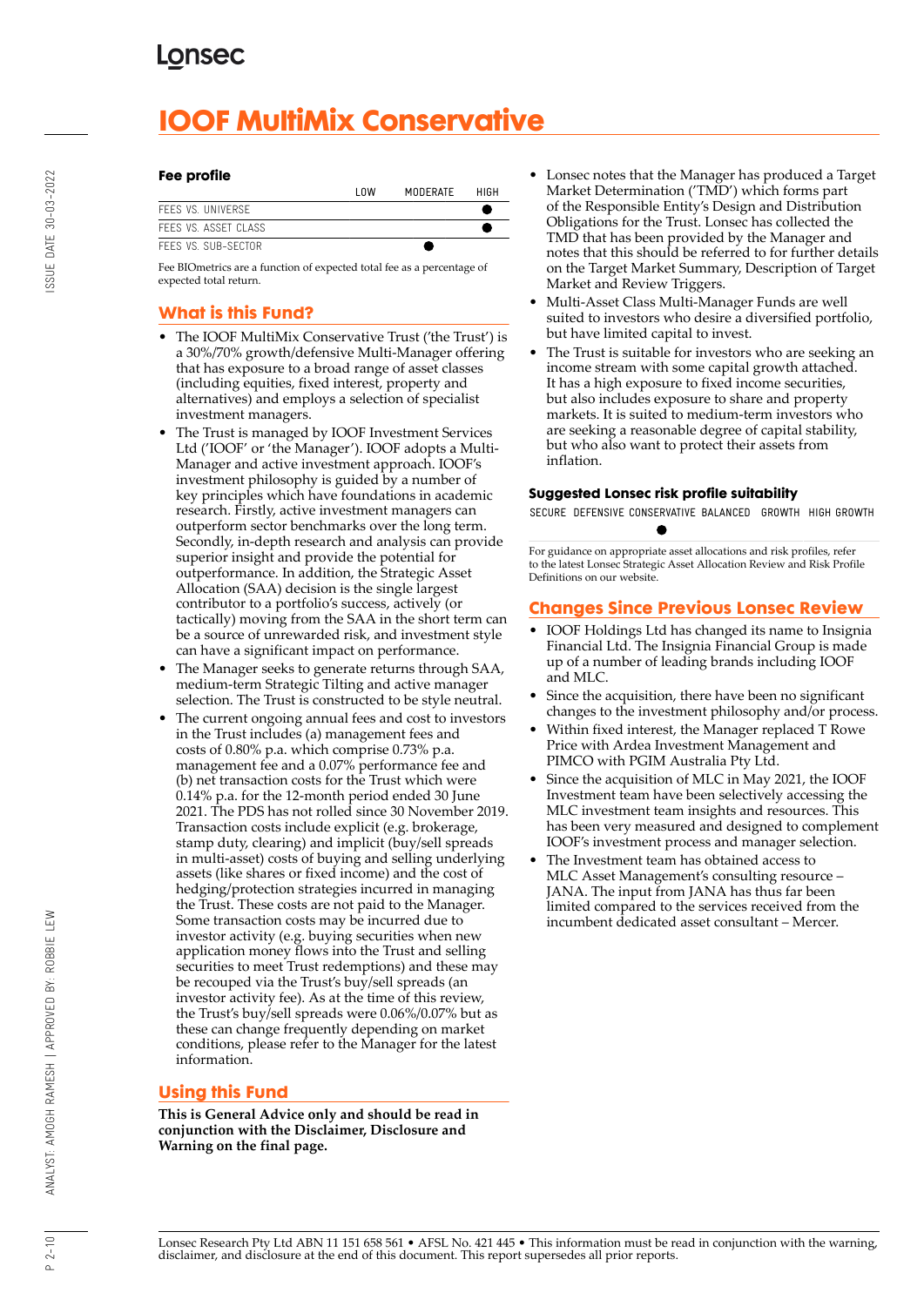# **IOOF MultiMix Conservative**

#### **Fee profile**

|                      | <b>INW</b> | MODERATE | HIGH |
|----------------------|------------|----------|------|
| FFFS VS. UNIVERSE    |            |          |      |
| FFFS VS. ASSFT CLASS |            |          |      |
| FFFS VS. SUB-SFCTOR. |            |          |      |

Fee BIOmetrics are a function of expected total fee as a percentage of expected total return.

## **What is this Fund?**

- The IOOF MultiMix Conservative Trust ('the Trust') is a 30%/70% growth/defensive Multi-Manager offering that has exposure to a broad range of asset classes (including equities, fixed interest, property and alternatives) and employs a selection of specialist investment managers.
- The Trust is managed by IOOF Investment Services Ltd ('IOOF' or 'the Manager'). IOOF adopts a Multi-Manager and active investment approach. IOOF's investment philosophy is guided by a number of key principles which have foundations in academic research. Firstly, active investment managers can outperform sector benchmarks over the long term. Secondly, in-depth research and analysis can provide superior insight and provide the potential for outperformance. In addition, the Strategic Asset Allocation (SAA) decision is the single largest contributor to a portfolio's success, actively (or tactically) moving from the SAA in the short term can be a source of unrewarded risk, and investment style can have a significant impact on performance.
- The Manager seeks to generate returns through SAA, medium-term Strategic Tilting and active manager selection. The Trust is constructed to be style neutral.
- The current ongoing annual fees and cost to investors in the Trust includes (a) management fees and costs of 0.80% p.a. which comprise 0.73% p.a. management fee and a 0.07% performance fee and (b) net transaction costs for the Trust which were 0.14% p.a. for the 12-month period ended 30 June 2021. The PDS has not rolled since 30 November 2019. Transaction costs include explicit (e.g. brokerage, stamp duty, clearing) and implicit (buy/sell spreads in multi-asset) costs of buying and selling underlying assets (like shares or fixed income) and the cost of hedging/protection strategies incurred in managing the Trust. These costs are not paid to the Manager. Some transaction costs may be incurred due to investor activity (e.g. buying securities when new application money flows into the Trust and selling securities to meet Trust redemptions) and these may be recouped via the Trust's buy/sell spreads (an investor activity fee). As at the time of this review, the Trust's buy/sell spreads were 0.06%/0.07% but as these can change frequently depending on market conditions, please refer to the Manager for the latest information.

## **Using this Fund**

**This is General Advice only and should be read in conjunction with the Disclaimer, Disclosure and Warning on the final page.**

- Lonsec notes that the Manager has produced a Target Market Determination ('TMD') which forms part of the Responsible Entity's Design and Distribution Obligations for the Trust. Lonsec has collected the TMD that has been provided by the Manager and notes that this should be referred to for further details on the Target Market Summary, Description of Target Market and Review Triggers.
- Multi-Asset Class Multi-Manager Funds are well suited to investors who desire a diversified portfolio, but have limited capital to invest.
- The Trust is suitable for investors who are seeking an income stream with some capital growth attached. It has a high exposure to fixed income securities, but also includes exposure to share and property markets. It is suited to medium-term investors who are seeking a reasonable degree of capital stability, but who also want to protect their assets from inflation.

## **Suggested Lonsec risk profile suitability**

SECURE DEFENSIVE CONSERVATIVE BALANCED GROWTH HIGH GROWTH

For guidance on appropriate asset allocations and risk profiles, refer to the latest Lonsec Strategic Asset Allocation Review and Risk Profile Definitions on our website.

## **Changes Since Previous Lonsec Review**

- IOOF Holdings Ltd has changed its name to Insignia Financial Ltd. The Insignia Financial Group is made up of a number of leading brands including IOOF and MLC.
- Since the acquisition, there have been no significant changes to the investment philosophy and/or process.
- Within fixed interest, the Manager replaced T Rowe Price with Ardea Investment Management and PIMCO with PGIM Australia Pty Ltd.
- Since the acquisition of MLC in May 2021, the IOOF Investment team have been selectively accessing the MLC investment team insights and resources. This has been very measured and designed to complement IOOF's investment process and manager selection.
- The Investment team has obtained access to MLC Asset Management's consulting resource – JANA. The input from JANA has thus far been limited compared to the services received from the incumbent dedicated asset consultant – Mercer.

Lonsec Research Pty Ltd ABN 11 151 658 561 • AFSL No. 421 445 • This information must be read in conjunction with the warning, disclaimer, and disclosure at the end of this document. This report supersedes all prior reports.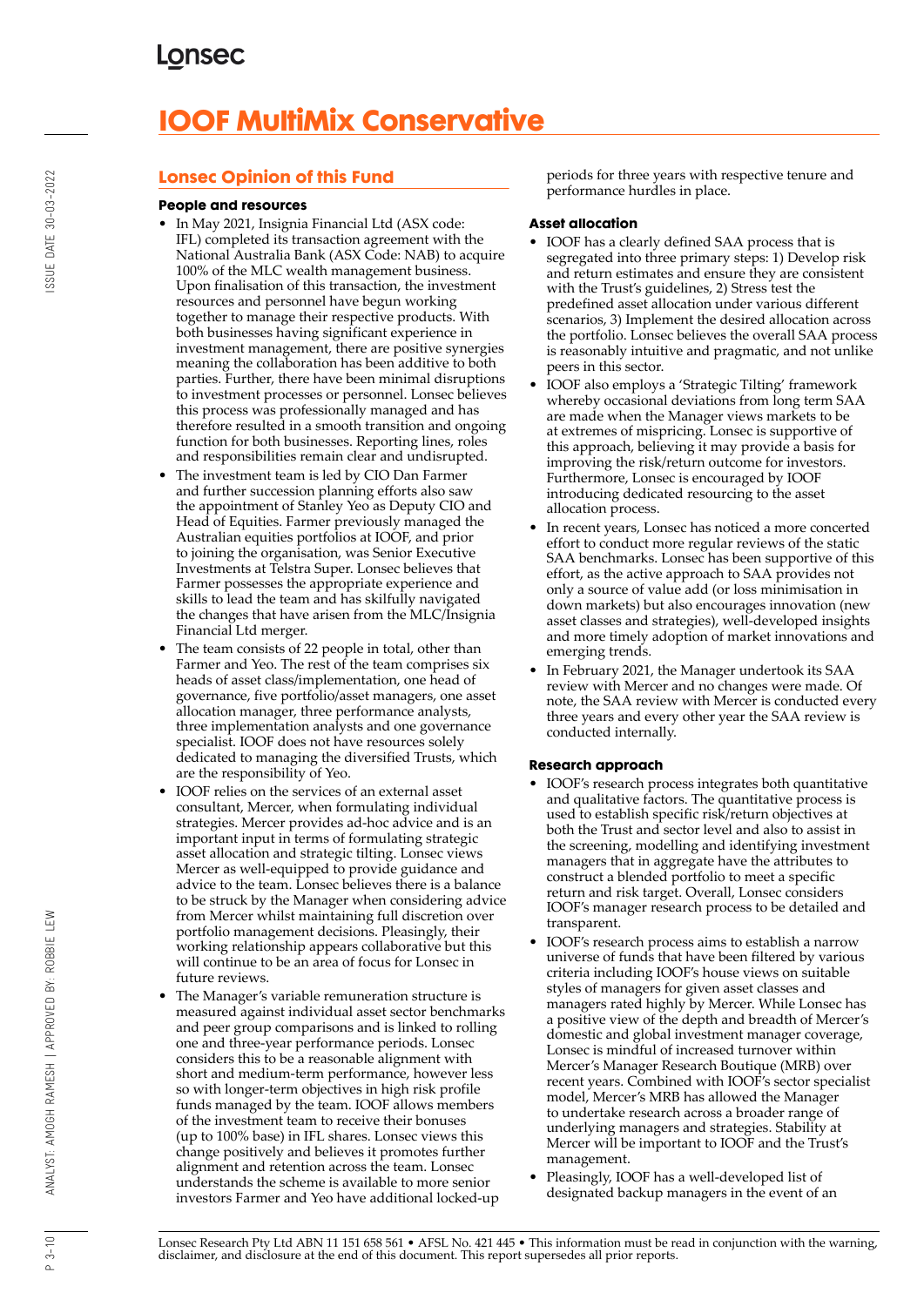# **IOOF MultiMix Conservative**

## **Lonsec Opinion of this Fund**

### **People and resources**

- In May 2021, Insignia Financial Ltd (ASX code: IFL) completed its transaction agreement with the National Australia Bank (ASX Code: NAB) to acquire 100% of the MLC wealth management business. Upon finalisation of this transaction, the investment resources and personnel have begun working together to manage their respective products. With both businesses having significant experience in investment management, there are positive synergies meaning the collaboration has been additive to both parties. Further, there have been minimal disruptions to investment processes or personnel. Lonsec believes this process was professionally managed and has therefore resulted in a smooth transition and ongoing function for both businesses. Reporting lines, roles and responsibilities remain clear and undisrupted.
- The investment team is led by CIO Dan Farmer and further succession planning efforts also saw the appointment of Stanley Yeo as Deputy CIO and Head of Equities. Farmer previously managed the Australian equities portfolios at IOOF, and prior to joining the organisation, was Senior Executive Investments at Telstra Super. Lonsec believes that Farmer possesses the appropriate experience and skills to lead the team and has skilfully navigated the changes that have arisen from the MLC/Insignia Financial Ltd merger.
- The team consists of 22 people in total, other than Farmer and Yeo. The rest of the team comprises six heads of asset class/implementation, one head of governance, five portfolio/asset managers, one asset allocation manager, three performance analysts, three implementation analysts and one governance specialist. IOOF does not have resources solely dedicated to managing the diversified Trusts, which are the responsibility of Yeo.
- IOOF relies on the services of an external asset consultant, Mercer, when formulating individual strategies. Mercer provides ad-hoc advice and is an important input in terms of formulating strategic asset allocation and strategic tilting. Lonsec views Mercer as well-equipped to provide guidance and advice to the team. Lonsec believes there is a balance to be struck by the Manager when considering advice from Mercer whilst maintaining full discretion over portfolio management decisions. Pleasingly, their working relationship appears collaborative but this will continue to be an area of focus for Lonsec in future reviews.
- The Manager's variable remuneration structure is measured against individual asset sector benchmarks and peer group comparisons and is linked to rolling one and three-year performance periods. Lonsec considers this to be a reasonable alignment with short and medium-term performance, however less so with longer-term objectives in high risk profile funds managed by the team. IOOF allows members of the investment team to receive their bonuses (up to 100% base) in IFL shares. Lonsec views this change positively and believes it promotes further alignment and retention across the team. Lonsec understands the scheme is available to more senior investors Farmer and Yeo have additional locked-up

periods for three years with respective tenure and performance hurdles in place.

## **Asset allocation**

- IOOF has a clearly defined SAA process that is segregated into three primary steps: 1) Develop risk and return estimates and ensure they are consistent with the Trust's guidelines, 2) Stress test the predefined asset allocation under various different scenarios, 3) Implement the desired allocation across the portfolio. Lonsec believes the overall SAA process is reasonably intuitive and pragmatic, and not unlike peers in this sector.
- IOOF also employs a 'Strategic Tilting' framework whereby occasional deviations from long term SAA are made when the Manager views markets to be at extremes of mispricing. Lonsec is supportive of this approach, believing it may provide a basis for improving the risk/return outcome for investors. Furthermore, Lonsec is encouraged by IOOF introducing dedicated resourcing to the asset allocation process.
- In recent years, Lonsec has noticed a more concerted effort to conduct more regular reviews of the static SAA benchmarks. Lonsec has been supportive of this effort, as the active approach to SAA provides not only a source of value add (or loss minimisation in down markets) but also encourages innovation (new asset classes and strategies), well-developed insights and more timely adoption of market innovations and emerging trends.
- In February 2021, the Manager undertook its SAA review with Mercer and no changes were made. Of note, the SAA review with Mercer is conducted every three years and every other year the SAA review is conducted internally.

## **Research approach**

- IOOF's research process integrates both quantitative and qualitative factors. The quantitative process is used to establish specific risk/return objectives at both the Trust and sector level and also to assist in the screening, modelling and identifying investment managers that in aggregate have the attributes to construct a blended portfolio to meet a specific return and risk target. Overall, Lonsec considers IOOF's manager research process to be detailed and transparent.
- IOOF's research process aims to establish a narrow universe of funds that have been filtered by various criteria including IOOF's house views on suitable styles of managers for given asset classes and managers rated highly by Mercer. While Lonsec has a positive view of the depth and breadth of Mercer's domestic and global investment manager coverage, Lonsec is mindful of increased turnover within Mercer's Manager Research Boutique (MRB) over recent years. Combined with IOOF's sector specialist model, Mercer's MRB has allowed the Manager to undertake research across a broader range of underlying managers and strategies. Stability at Mercer will be important to IOOF and the Trust's management.
- Pleasingly, IOOF has a well-developed list of designated backup managers in the event of an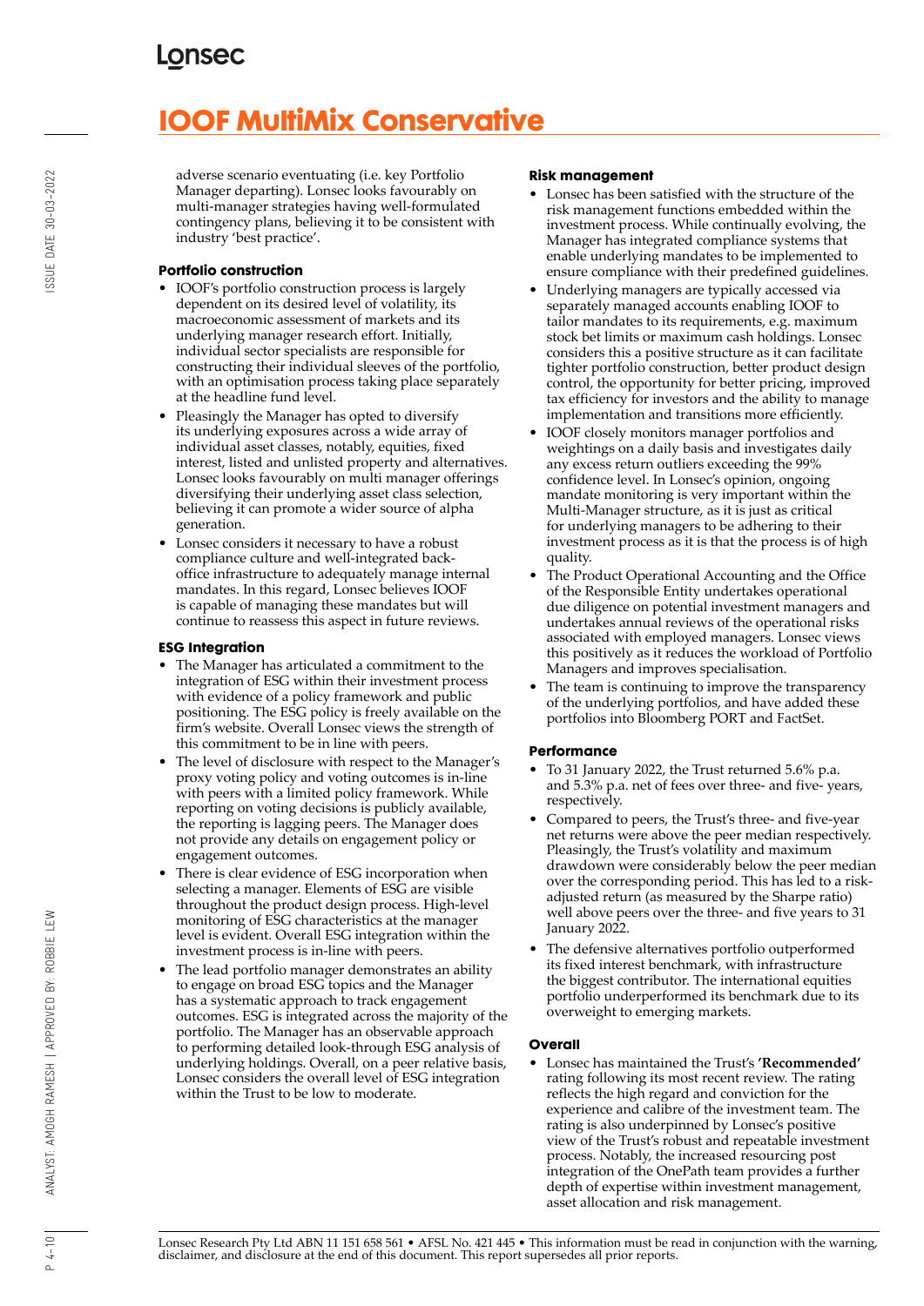# **IOOF MultiMix Conservative**

adverse scenario eventuating (i.e. key Portfolio Manager departing). Lonsec looks favourably on multi-manager strategies having well-formulated contingency plans, believing it to be consistent with industry 'best practice'.

## **Portfolio construction**

- IOOF's portfolio construction process is largely dependent on its desired level of volatility, its macroeconomic assessment of markets and its underlying manager research effort. Initially, individual sector specialists are responsible for constructing their individual sleeves of the portfolio, with an optimisation process taking place separately at the headline fund level.
- Pleasingly the Manager has opted to diversify its underlying exposures across a wide array of individual asset classes, notably, equities, fixed interest, listed and unlisted property and alternatives. Lonsec looks favourably on multi manager offerings diversifying their underlying asset class selection, believing it can promote a wider source of alpha generation.
- Lonsec considers it necessary to have a robust compliance culture and well-integrated backoffice infrastructure to adequately manage internal mandates. In this regard, Lonsec believes IOOF is capable of managing these mandates but will continue to reassess this aspect in future reviews.

## **ESG Integration**

- The Manager has articulated a commitment to the integration of ESG within their investment process with evidence of a policy framework and public positioning. The ESG policy is freely available on the firm's website. Overall Lonsec views the strength of this commitment to be in line with peers.
- The level of disclosure with respect to the Manager's proxy voting policy and voting outcomes is in-line with peers with a limited policy framework. While reporting on voting decisions is publicly available, the reporting is lagging peers. The Manager does not provide any details on engagement policy or engagement outcomes.
- There is clear evidence of ESG incorporation when selecting a manager. Elements of ESG are visible throughout the product design process. High-level monitoring of ESG characteristics at the manager level is evident. Overall ESG integration within the investment process is in-line with peers.
- The lead portfolio manager demonstrates an ability to engage on broad ESG topics and the Manager has a systematic approach to track engagement outcomes. ESG is integrated across the majority of the portfolio. The Manager has an observable approach to performing detailed look-through ESG analysis of underlying holdings. Overall, on a peer relative basis, Lonsec considers the overall level of ESG integration within the Trust to be low to moderate.

### **Risk management**

- Lonsec has been satisfied with the structure of the risk management functions embedded within the investment process. While continually evolving, the Manager has integrated compliance systems that enable underlying mandates to be implemented to ensure compliance with their predefined guidelines.
- Underlying managers are typically accessed via separately managed accounts enabling IOOF to tailor mandates to its requirements, e.g. maximum stock bet limits or maximum cash holdings. Lonsec considers this a positive structure as it can facilitate tighter portfolio construction, better product design control, the opportunity for better pricing, improved tax efficiency for investors and the ability to manage implementation and transitions more efficiently.
- IOOF closely monitors manager portfolios and weightings on a daily basis and investigates daily any excess return outliers exceeding the 99% confidence level. In Lonsec's opinion, ongoing mandate monitoring is very important within the Multi-Manager structure, as it is just as critical for underlying managers to be adhering to their investment process as it is that the process is of high quality.
- The Product Operational Accounting and the Office of the Responsible Entity undertakes operational due diligence on potential investment managers and undertakes annual reviews of the operational risks associated with employed managers. Lonsec views this positively as it reduces the workload of Portfolio Managers and improves specialisation.
- The team is continuing to improve the transparency of the underlying portfolios, and have added these portfolios into Bloomberg PORT and FactSet.

## **Performance**

- To 31 January 2022, the Trust returned 5.6% p.a. and 5.3% p.a. net of fees over three- and five- years, respectively.
- Compared to peers, the Trust's three- and five-year net returns were above the peer median respectively. Pleasingly, the Trust's volatility and maximum drawdown were considerably below the peer median over the corresponding period. This has led to a riskadjusted return (as measured by the Sharpe ratio) well above peers over the three- and five years to 31 January 2022.
- The defensive alternatives portfolio outperformed its fixed interest benchmark, with infrastructure the biggest contributor. The international equities portfolio underperformed its benchmark due to its overweight to emerging markets.

## **Overall**

• Lonsec has maintained the Trust's **'Recommended'** rating following its most recent review. The rating reflects the high regard and conviction for the experience and calibre of the investment team. The rating is also underpinned by Lonsec's positive view of the Trust's robust and repeatable investment process. Notably, the increased resourcing post integration of the OnePath team provides a further depth of expertise within investment management, asset allocation and risk management.

ANALYST: AMOGH RAMESH | APPROVED BY: ROBBIE LEW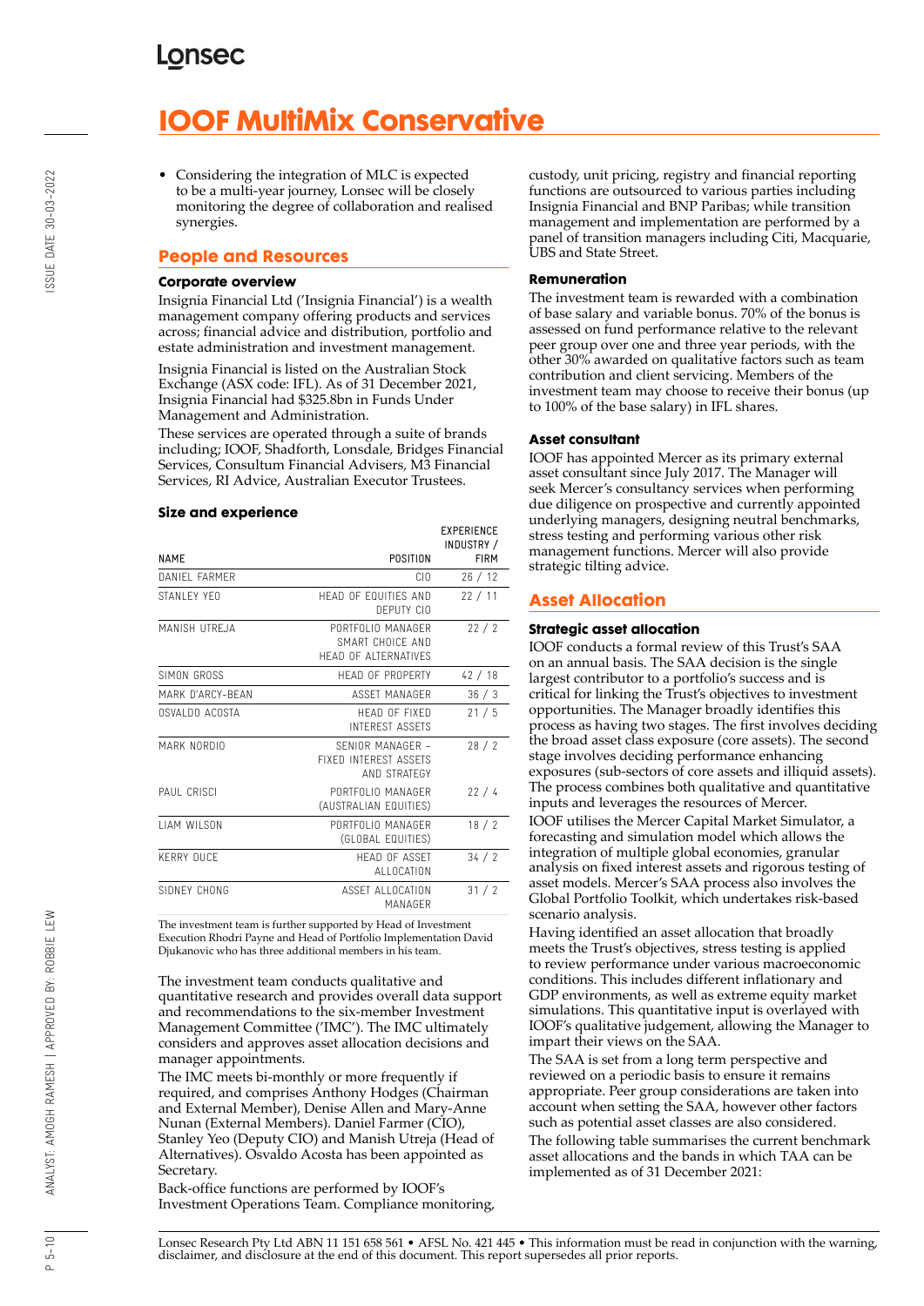# **IOOF MultiMix Conservative**

• Considering the integration of MLC is expected to be a multi-year journey, Lonsec will be closely monitoring the degree of collaboration and realised synergies.

## **People and Resources**

#### **Corporate overview**

Insignia Financial Ltd ('Insignia Financial') is a wealth management company offering products and services across; financial advice and distribution, portfolio and estate administration and investment management.

Insignia Financial is listed on the Australian Stock Exchange (ASX code: IFL). As of 31 December 2021, Insignia Financial had \$325.8bn in Funds Under Management and Administration.

These services are operated through a suite of brands including; IOOF, Shadforth, Lonsdale, Bridges Financial Services, Consultum Financial Advisers, M3 Financial Services, RI Advice, Australian Executor Trustees.

#### **Size and experience**

|                     |                                                               | INDUSTRY /  |
|---------------------|---------------------------------------------------------------|-------------|
| <b>NAME</b>         | POSITION                                                      | <b>FIRM</b> |
| DANIFI FARMER       | CIO                                                           | 26/12       |
| STANI FY YFO        | HEAD OF FOUITIES AND<br>DEPUTY CIO                            | 22/11       |
| MANISH UTREJA       | PORTEOLIO MANAGER<br>SMART CHOICE AND<br>HEAD OF ALTERNATIVES | 22/2        |
| SIMON GROSS         | <b>HFAD OF PROPERTY</b>                                       | 42/18       |
| MARK D'ARCY-BFAN    | ASSFT MANAGER                                                 | 36/3        |
| OSVALDO ACOSTA      | HEAD OF FIXED<br><b>INTEREST ASSETS</b>                       | 21/5        |
| MARK NORDIO         | SENIOR MANAGER -<br>FIXFD INTEREST ASSETS<br>AND STRATEGY     | 28/2        |
| PAUL CRISCI         | PORTFOLIO MANAGER<br>(AUSTRALIAN EQUITIES)                    | 22/4        |
| <b>I IAM WILSON</b> | PORTFOLIO MANAGER<br>(GLOBAL EQUITIES)                        | 18/2        |
| <b>KERRY DUCF</b>   | <b>HFAD OF ASSFT</b><br>ALLOCATION                            | 34 / 2      |
| SIDNEY CHONG        | ASSET ALLOCATION<br>MANAGFR                                   | 31/2        |

The investment team is further supported by Head of Investment Execution Rhodri Payne and Head of Portfolio Implementation David Djukanovic who has three additional members in his team.

The investment team conducts qualitative and quantitative research and provides overall data support and recommendations to the six-member Investment Management Committee ('IMC'). The IMC ultimately considers and approves asset allocation decisions and manager appointments.

The IMC meets bi-monthly or more frequently if required, and comprises Anthony Hodges (Chairman and External Member), Denise Allen and Mary-Anne Nunan (External Members). Daniel Farmer (CIO), Stanley Yeo (Deputy CIO) and Manish Utreja (Head of Alternatives). Osvaldo Acosta has been appointed as Secretary.

Back-office functions are performed by IOOF's Investment Operations Team. Compliance monitoring, custody, unit pricing, registry and financial reporting functions are outsourced to various parties including Insignia Financial and BNP Paribas; while transition management and implementation are performed by a panel of transition managers including Citi, Macquarie, UBS and State Street.

#### **Remuneration**

The investment team is rewarded with a combination of base salary and variable bonus. 70% of the bonus is assessed on fund performance relative to the relevant peer group over one and three year periods, with the other 30% awarded on qualitative factors such as team contribution and client servicing. Members of the investment team may choose to receive their bonus (up to 100% of the base salary) in IFL shares.

#### **Asset consultant**

**EVPERIENCE** 

IOOF has appointed Mercer as its primary external asset consultant since July 2017. The Manager will seek Mercer's consultancy services when performing due diligence on prospective and currently appointed underlying managers, designing neutral benchmarks, stress testing and performing various other risk management functions. Mercer will also provide strategic tilting advice.

## **Asset Allocation**

#### **Strategic asset allocation**

IOOF conducts a formal review of this Trust's SAA on an annual basis. The SAA decision is the single largest contributor to a portfolio's success and is critical for linking the Trust's objectives to investment opportunities. The Manager broadly identifies this process as having two stages. The first involves deciding the broad asset class exposure (core assets). The second stage involves deciding performance enhancing exposures (sub-sectors of core assets and illiquid assets). The process combines both qualitative and quantitative inputs and leverages the resources of Mercer.

IOOF utilises the Mercer Capital Market Simulator, a forecasting and simulation model which allows the integration of multiple global economies, granular analysis on fixed interest assets and rigorous testing of asset models. Mercer's SAA process also involves the Global Portfolio Toolkit, which undertakes risk-based scenario analysis.

Having identified an asset allocation that broadly meets the Trust's objectives, stress testing is applied to review performance under various macroeconomic conditions. This includes different inflationary and GDP environments, as well as extreme equity market simulations. This quantitative input is overlayed with IOOF's qualitative judgement, allowing the Manager to impart their views on the SAA.

The SAA is set from a long term perspective and reviewed on a periodic basis to ensure it remains appropriate. Peer group considerations are taken into account when setting the SAA, however other factors such as potential asset classes are also considered. The following table summarises the current benchmark asset allocations and the bands in which TAA can be implemented as of 31 December 2021:

Lonsec Research Pty Ltd ABN 11 151 658 561 • AFSL No. 421 445 • This information must be read in conjunction with the warning, disclaimer, and disclosure at the end of this document. This report supersedes all prior reports.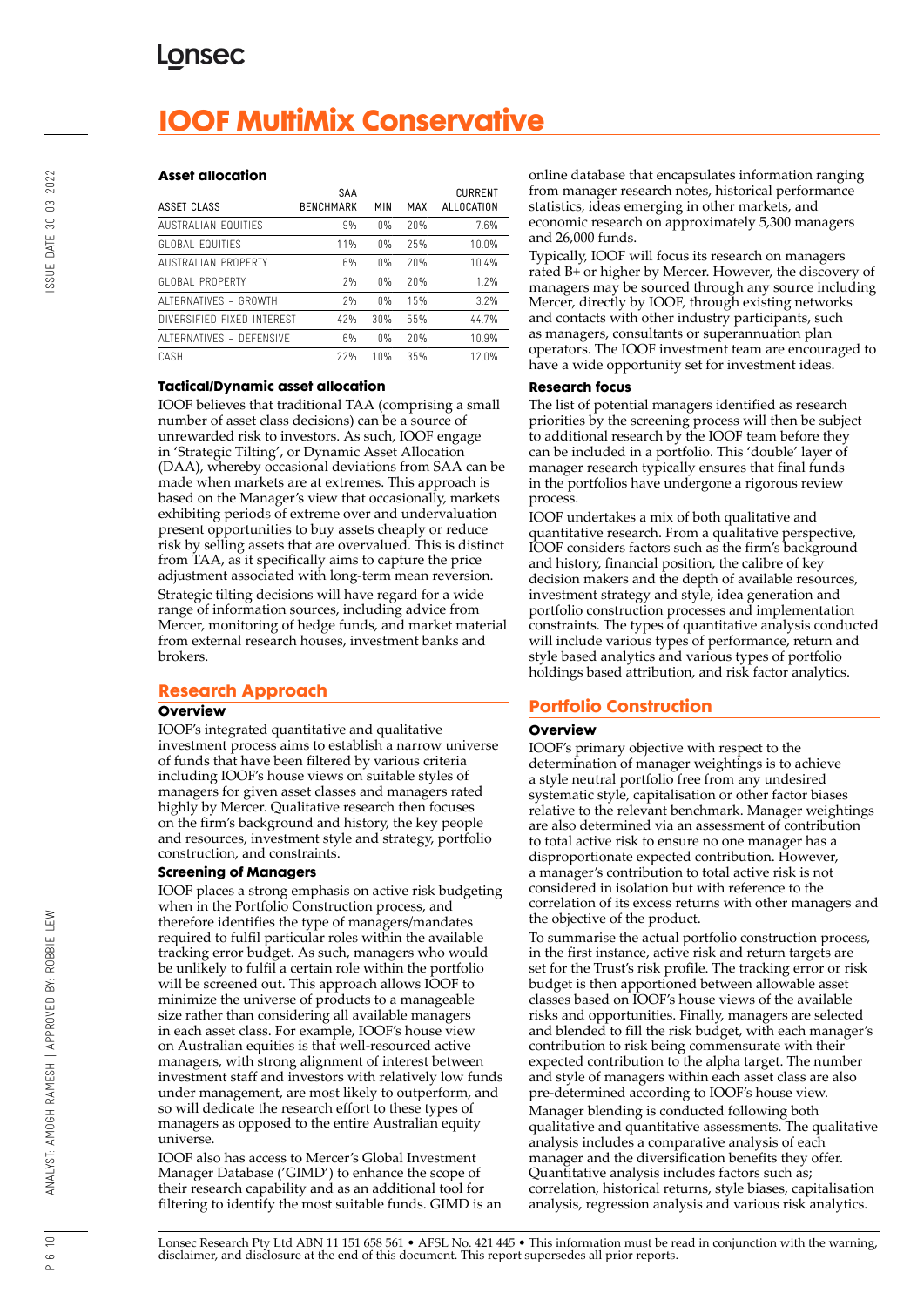# **IOOF MultiMix Conservative**

#### **Asset allocation**

| ASSET CLASS                | SAA<br><b>BENCHMARK</b> | MIN   | MAX | <b>CURRENT</b><br>ALLOCATION |
|----------------------------|-------------------------|-------|-----|------------------------------|
| AUSTRALIAN FOUITIFS        | 9%                      | $0\%$ | 20% | 7.6%                         |
| GLOBAL FOUITIES            | 11%                     | $0\%$ | 25% | 10.0%                        |
| <b>AUSTRALIAN PROPERTY</b> | 6%                      | $0\%$ | 20% | 10.4%                        |
| GLOBAL PROPERTY            | 7%                      | 0%    | 20% | 1.2%                         |
| ALTERNATIVES - GROWTH      | 7%                      | $0\%$ | 15% | 3.2%                         |
| DIVERSIFIED FIXED INTEREST | 42%                     | 30%   | 55% | 44.7%                        |
| ALTERNATIVES - DEFENSIVE   | 6%                      | $0\%$ | 20% | 10.9%                        |
| CASH                       | 77%                     | 10%   | 35% | 12.0%                        |

#### **Tactical/Dynamic asset allocation**

IOOF believes that traditional TAA (comprising a small number of asset class decisions) can be a source of unrewarded risk to investors. As such, IOOF engage in 'Strategic Tilting', or Dynamic Asset Allocation (DAA), whereby occasional deviations from SAA can be made when markets are at extremes. This approach is based on the Manager's view that occasionally, markets exhibiting periods of extreme over and undervaluation present opportunities to buy assets cheaply or reduce risk by selling assets that are overvalued. This is distinct from TAA, as it specifically aims to capture the price adjustment associated with long-term mean reversion. Strategic tilting decisions will have regard for a wide range of information sources, including advice from Mercer, monitoring of hedge funds, and market material from external research houses, investment banks and brokers.

## **Research Approach**

#### **Overview**

IOOF's integrated quantitative and qualitative investment process aims to establish a narrow universe of funds that have been filtered by various criteria including IOOF's house views on suitable styles of managers for given asset classes and managers rated highly by Mercer. Qualitative research then focuses on the firm's background and history, the key people and resources, investment style and strategy, portfolio construction, and constraints.

#### **Screening of Managers**

IOOF places a strong emphasis on active risk budgeting when in the Portfolio Construction process, and therefore identifies the type of managers/mandates required to fulfil particular roles within the available tracking error budget. As such, managers who would be unlikely to fulfil a certain role within the portfolio will be screened out. This approach allows IOOF to minimize the universe of products to a manageable size rather than considering all available managers in each asset class. For example, IOOF's house view on Australian equities is that well-resourced active managers, with strong alignment of interest between investment staff and investors with relatively low funds under management, are most likely to outperform, and so will dedicate the research effort to these types of managers as opposed to the entire Australian equity universe.

IOOF also has access to Mercer's Global Investment Manager Database ('GIMD') to enhance the scope of their research capability and as an additional tool for filtering to identify the most suitable funds. GIMD is an online database that encapsulates information ranging from manager research notes, historical performance statistics, ideas emerging in other markets, and economic research on approximately 5,300 managers and 26,000 funds.

Typically, IOOF will focus its research on managers rated B+ or higher by Mercer. However, the discovery of managers may be sourced through any source including Mercer, directly by IOOF, through existing networks and contacts with other industry participants, such as managers, consultants or superannuation plan operators. The IOOF investment team are encouraged to have a wide opportunity set for investment ideas.

#### **Research focus**

The list of potential managers identified as research priorities by the screening process will then be subject to additional research by the IOOF team before they can be included in a portfolio. This 'double' layer of manager research typically ensures that final funds in the portfolios have undergone a rigorous review process.

IOOF undertakes a mix of both qualitative and quantitative research. From a qualitative perspective, IOOF considers factors such as the firm's background and history, financial position, the calibre of key decision makers and the depth of available resources, investment strategy and style, idea generation and portfolio construction processes and implementation constraints. The types of quantitative analysis conducted will include various types of performance, return and style based analytics and various types of portfolio holdings based attribution, and risk factor analytics.

## **Portfolio Construction**

#### **Overview**

IOOF's primary objective with respect to the determination of manager weightings is to achieve a style neutral portfolio free from any undesired systematic style, capitalisation or other factor biases relative to the relevant benchmark. Manager weightings are also determined via an assessment of contribution to total active risk to ensure no one manager has a disproportionate expected contribution. However, a manager's contribution to total active risk is not considered in isolation but with reference to the correlation of its excess returns with other managers and the objective of the product.

To summarise the actual portfolio construction process, in the first instance, active risk and return targets are set for the Trust's risk profile. The tracking error or risk budget is then apportioned between allowable asset classes based on IOOF's house views of the available risks and opportunities. Finally, managers are selected and blended to fill the risk budget, with each manager's contribution to risk being commensurate with their expected contribution to the alpha target. The number and style of managers within each asset class are also pre-determined according to IOOF's house view. Manager blending is conducted following both qualitative and quantitative assessments. The qualitative analysis includes a comparative analysis of each manager and the diversification benefits they offer. Quantitative analysis includes factors such as; correlation, historical returns, style biases, capitalisation analysis, regression analysis and various risk analytics.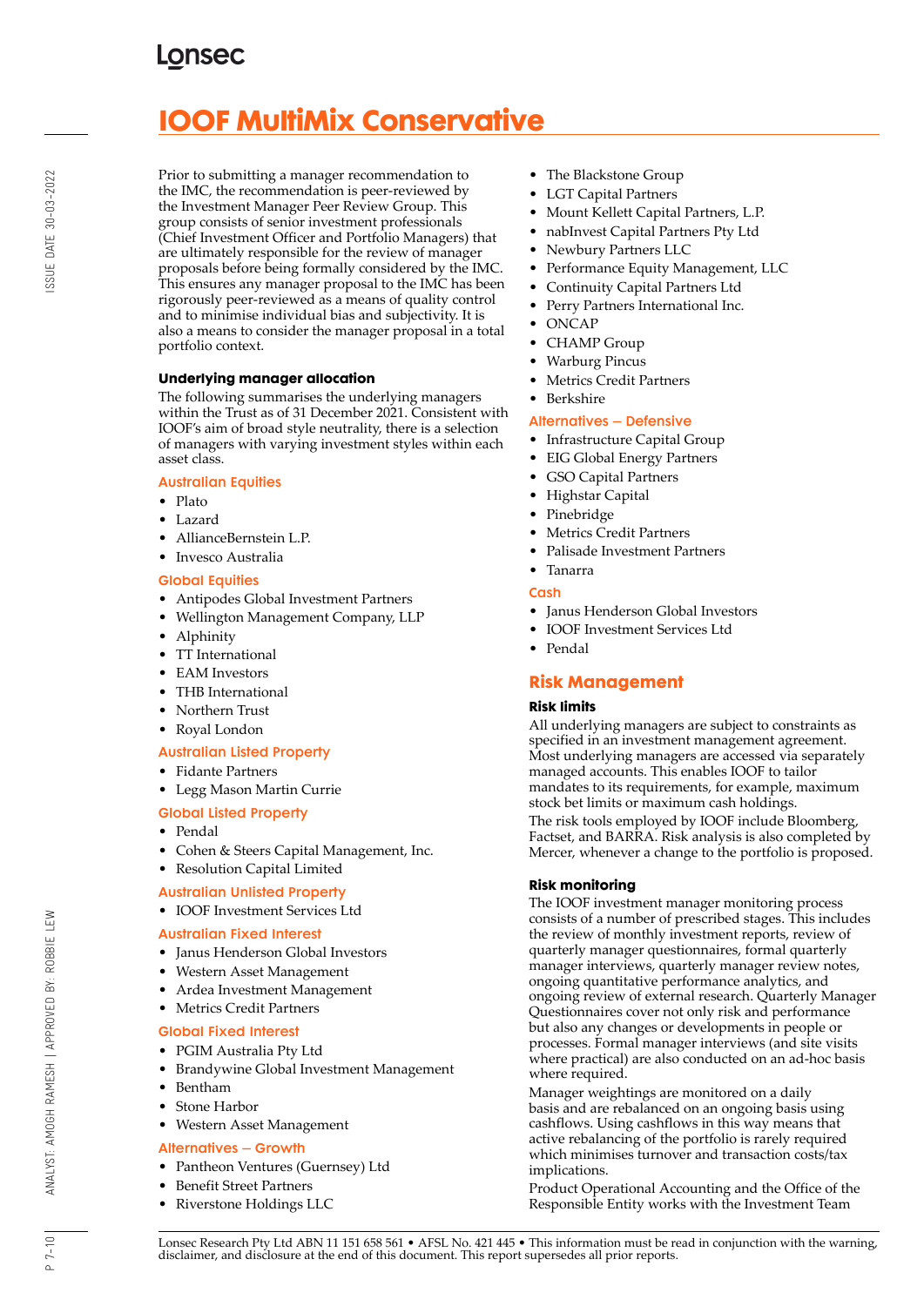# **IOOF MultiMix Conservative**

Prior to submitting a manager recommendation to the IMC, the recommendation is peer-reviewed by the Investment Manager Peer Review Group. This group consists of senior investment professionals (Chief Investment Officer and Portfolio Managers) that are ultimately responsible for the review of manager proposals before being formally considered by the IMC. This ensures any manager proposal to the IMC has been rigorously peer-reviewed as a means of quality control and to minimise individual bias and subjectivity. It is also a means to consider the manager proposal in a total portfolio context.

## **Underlying manager allocation**

The following summarises the underlying managers within the Trust as of 31 December 2021. Consistent with IOOF's aim of broad style neutrality, there is a selection of managers with varying investment styles within each asset class.

### Australian Equities

- Plato
- Lazard
- AllianceBernstein L.P.
- Invesco Australia

### Global Equities

- Antipodes Global Investment Partners
- Wellington Management Company, LLP
- Alphinity
- TT International
- EAM Investors
- THB International
- Northern Trust
- Royal London

## Australian Listed Property

- Fidante Partners
- Legg Mason Martin Currie
- Global Listed Property
- Pendal
- Cohen & Steers Capital Management, Inc.

## • Resolution Capital Limited

#### Australian Unlisted Property

• IOOF Investment Services Ltd

## Australian Fixed Interest

- Janus Henderson Global Investors
- Western Asset Management
- Ardea Investment Management
- Metrics Credit Partners

## Global Fixed Interest

- PGIM Australia Pty Ltd
- Brandywine Global Investment Management
- Bentham
- Stone Harbor
- Western Asset Management

## Alternatives – Growth

- Pantheon Ventures (Guernsey) Ltd
- Benefit Street Partners
- Riverstone Holdings LLC
- The Blackstone Group
- LGT Capital Partners
- Mount Kellett Capital Partners, L.P.
- nabInvest Capital Partners Pty Ltd
- Newbury Partners LLC
- Performance Equity Management, LLC
- Continuity Capital Partners Ltd
- Perry Partners International Inc.
- ONCAP
- CHAMP Group
- Warburg Pincus
- Metrics Credit Partners
- Berkshire

### Alternatives – Defensive

- Infrastructure Capital Group
- EIG Global Energy Partners
- GSO Capital Partners
- Highstar Capital
- Pinebridge
- Metrics Credit Partners
- Palisade Investment Partners

## • Tanarra

### **Cash**

- Janus Henderson Global Investors
- IOOF Investment Services Ltd
- Pendal

## **Risk Management**

#### **Risk limits**

All underlying managers are subject to constraints as specified in an investment management agreement. Most underlying managers are accessed via separately managed accounts. This enables IOOF to tailor mandates to its requirements, for example, maximum stock bet limits or maximum cash holdings. The risk tools employed by IOOF include Bloomberg, Factset, and BARRA. Risk analysis is also completed by Mercer, whenever a change to the portfolio is proposed.

## **Risk monitoring**

The IOOF investment manager monitoring process consists of a number of prescribed stages. This includes the review of monthly investment reports, review of quarterly manager questionnaires, formal quarterly manager interviews, quarterly manager review notes, ongoing quantitative performance analytics, and ongoing review of external research. Quarterly Manager Questionnaires cover not only risk and performance but also any changes or developments in people or processes. Formal manager interviews (and site visits where practical) are also conducted on an ad-hoc basis where required.

Manager weightings are monitored on a daily basis and are rebalanced on an ongoing basis using cashflows. Using cashflows in this way means that active rebalancing of the portfolio is rarely required which minimises turnover and transaction costs/tax implications.

Product Operational Accounting and the Office of the Responsible Entity works with the Investment Team

 $P 7 - 10$ 

ANALYST: AMOGH RAMESH | APPROVED BY: ROBBIE LEW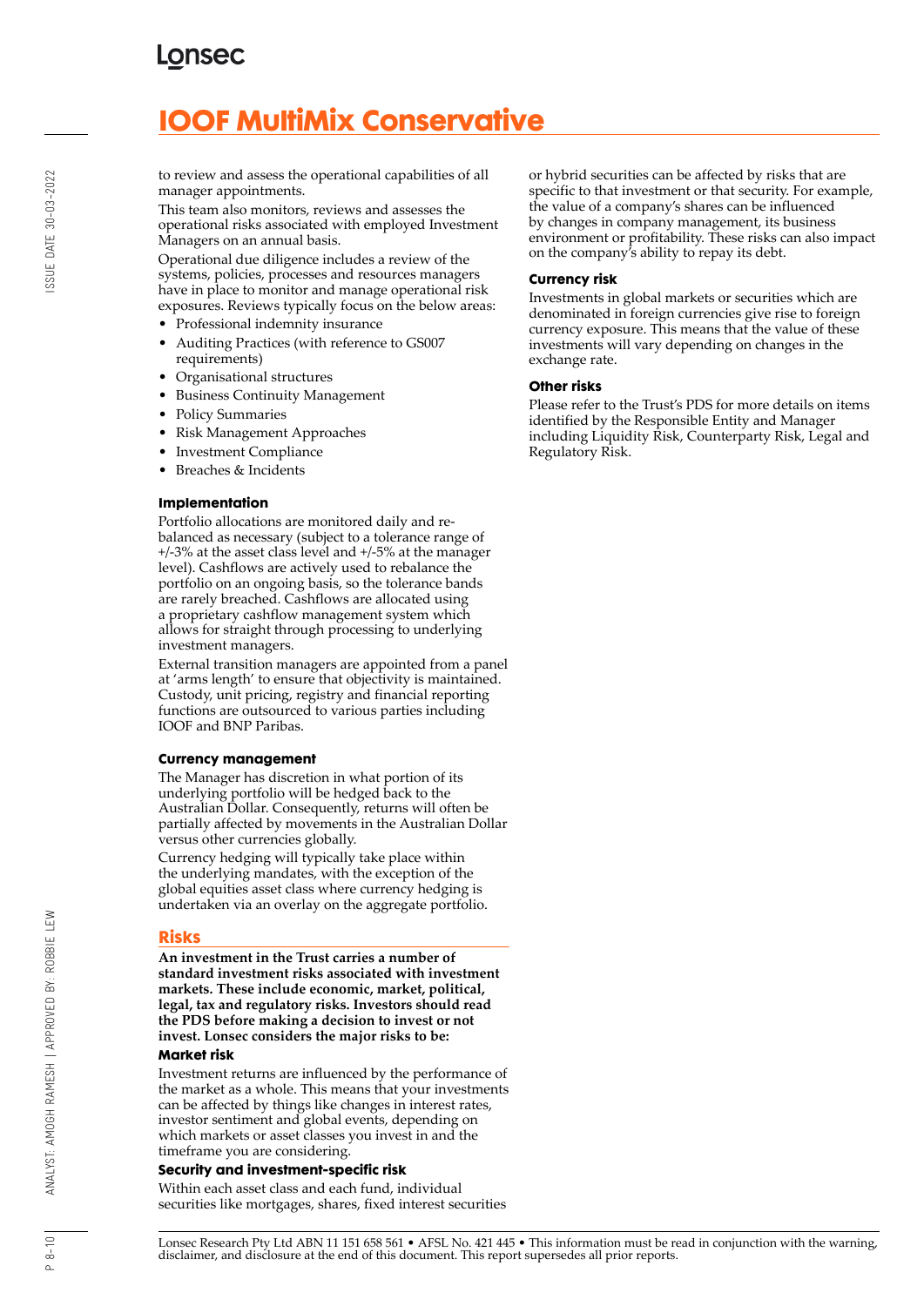# **IOOF MultiMix Conservative**

to review and assess the operational capabilities of all manager appointments.

This team also monitors, reviews and assesses the operational risks associated with employed Investment Managers on an annual basis.

Operational due diligence includes a review of the systems, policies, processes and resources managers have in place to monitor and manage operational risk exposures. Reviews typically focus on the below areas:

- Professional indemnity insurance
- Auditing Practices (with reference to GS007 requirements)
- Organisational structures
- Business Continuity Management
- Policy Summaries
- Risk Management Approaches
- Investment Compliance
- Breaches & Incidents

#### **Implementation**

Portfolio allocations are monitored daily and rebalanced as necessary (subject to a tolerance range of +/-3% at the asset class level and +/-5% at the manager level). Cashflows are actively used to rebalance the portfolio on an ongoing basis, so the tolerance bands are rarely breached. Cashflows are allocated using a proprietary cashflow management system which allows for straight through processing to underlying investment managers.

External transition managers are appointed from a panel at 'arms length' to ensure that objectivity is maintained. Custody, unit pricing, registry and financial reporting functions are outsourced to various parties including IOOF and BNP Paribas.

#### **Currency management**

The Manager has discretion in what portion of its underlying portfolio will be hedged back to the Australian Dollar. Consequently, returns will often be partially affected by movements in the Australian Dollar versus other currencies globally.

Currency hedging will typically take place within the underlying mandates, with the exception of the global equities asset class where currency hedging is undertaken via an overlay on the aggregate portfolio.

#### **Risks**

**An investment in the Trust carries a number of standard investment risks associated with investment markets. These include economic, market, political, legal, tax and regulatory risks. Investors should read the PDS before making a decision to invest or not invest. Lonsec considers the major risks to be:**

#### **Market risk**

Investment returns are influenced by the performance of the market as a whole. This means that your investments can be affected by things like changes in interest rates, investor sentiment and global events, depending on which markets or asset classes you invest in and the timeframe you are considering.

#### **Security and investment-specific risk**

Within each asset class and each fund, individual securities like mortgages, shares, fixed interest securities or hybrid securities can be affected by risks that are specific to that investment or that security. For example, the value of a company's shares can be influenced by changes in company management, its business environment or profitability. These risks can also impact on the company's ability to repay its debt.

#### **Currency risk**

Investments in global markets or securities which are denominated in foreign currencies give rise to foreign currency exposure. This means that the value of these investments will vary depending on changes in the exchange rate.

#### **Other risks**

Please refer to the Trust's PDS for more details on items identified by the Responsible Entity and Manager including Liquidity Risk, Counterparty Risk, Legal and Regulatory Risk.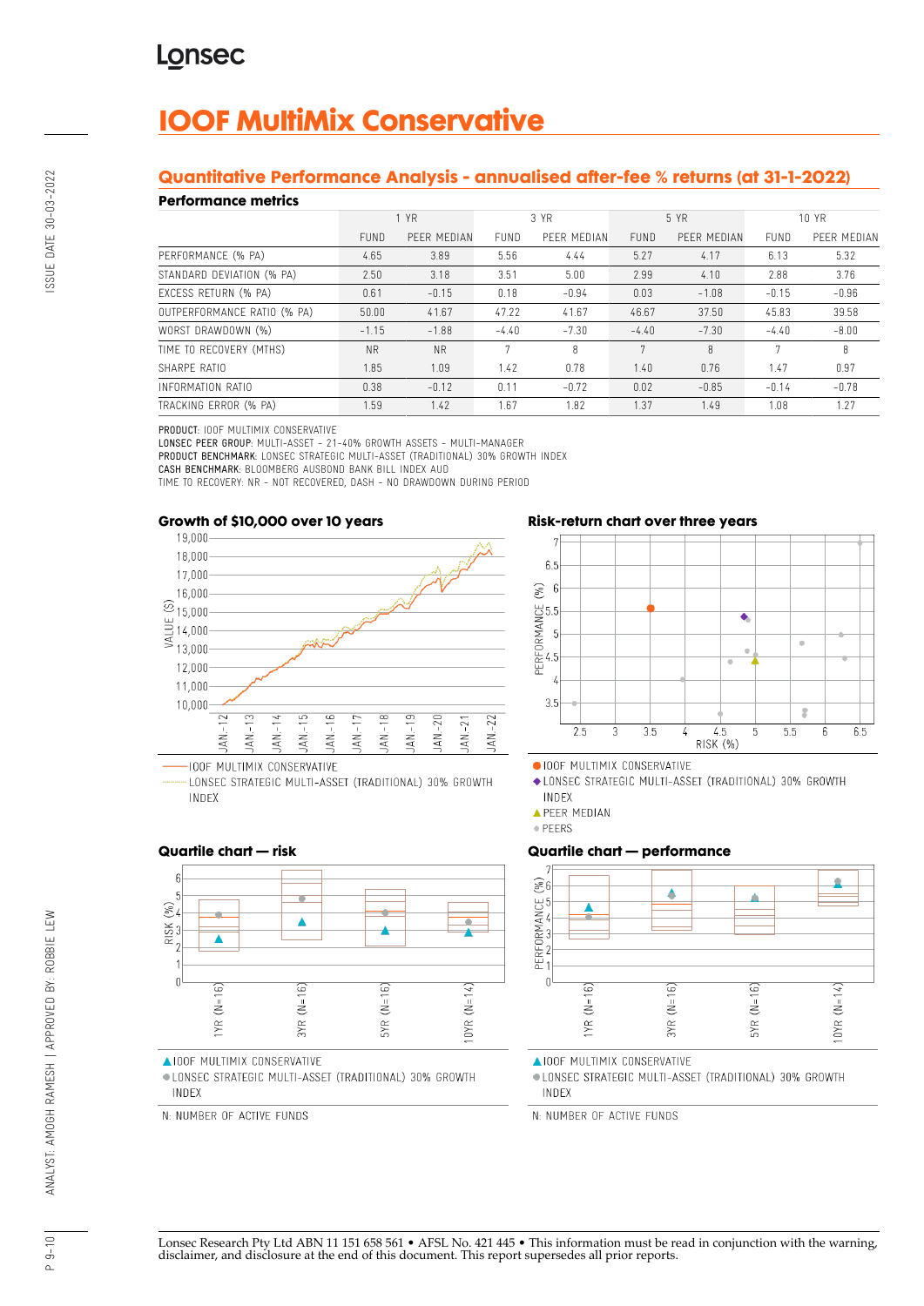# **IOOF MultiMix Conservative**

## **Quantitative Performance Analysis - annualised after-fee % returns (at 31-1-2022)**

### **Performance metrics**

| נטוושוועט ווערוויטוו        |             |             |             |             |             |             |         |             |
|-----------------------------|-------------|-------------|-------------|-------------|-------------|-------------|---------|-------------|
|                             | 1 YR        |             | 3 YR        |             | 5 YR        |             | 10 YR   |             |
|                             | <b>FUND</b> | PEER MEDIAN | <b>FUND</b> | PEER MEDIAN | <b>FUND</b> | PEER MEDIAN | FUND    | PEER MEDIAN |
| PERFORMANCE (% PA)          | 4.65        | 3.89        | 5.56        | 4.44        | 5.27        | 4.17        | 6.13    | 5.32        |
| STANDARD DEVIATION (% PA)   | 2.50        | 3.18        | 3.51        | 5.00        | 2.99        | 4.10        | 2.88    | 3.76        |
| EXCESS RETURN (% PA)        | 0.61        | $-0.15$     | 0.18        | $-0.94$     | 0.03        | $-1.08$     | $-0.15$ | $-0.96$     |
| OUTPERFORMANCE RATIO (% PA) | 50.00       | 41.67       | 47.22       | 41.67       | 46.67       | 37.50       | 45.83   | 39.58       |
| WORST DRAWDOWN (%)          | $-1.15$     | $-1.88$     | $-4.40$     | $-7.30$     | $-4.40$     | $-7.30$     | $-4.40$ | $-8.00$     |
| TIME TO RECOVERY (MTHS)     | <b>NR</b>   | <b>NR</b>   | 7           | R           | 7           | 8           | 7       | 8           |
| SHARPE RATIO                | 1.85        | 1.09        | 1.42        | 0.78        | 1.40        | 0.76        | 1.47    | 0.97        |
| INFORMATION RATIO           | 0.38        | $-0.12$     | 0.11        | $-0.72$     | 0.02        | $-0.85$     | $-0.14$ | $-0.78$     |
| TRACKING ERROR (% PA)       | 1.59        | 1.42        | 1.67        | 1.82        | 1.37        | 1.49        | 1.08    | 1.27        |

PRODUCT: IOOF MULTIMIX CONSERVATIVE

LONSEC PEER GROUP: MULTI-ASSET - 21-40% GROWTH ASSETS - MULTI-MANAGER PRODUCT BENCHMARK: LONSEC STRATEGIC MULTI-ASSET (TRADITIONAL) 30% GROWTH INDEX

CASH BENCHMARK: BLOOMBERG AUSBOND BANK BILL INDEX AUD

TIME TO RECOVERY: NR - NOT RECOVERED, DASH - NO DRAWDOWN DURING PERIOD





LONSEC STRATEGIC MULTI-ASSET (TRADITIONAL) 30% GROWTH INDEX

## **Risk-return chart over three years**



OIOOF MULTIMIX CONSERVATIVE

◆ LONSEC STRATEGIC MULTI-ASSET (TRADITIONAL) 30% GROWTH INDEX

**APEER MEDIAN** 

· PEERS

## **Quartile chart — performance**



**AIOOF MULTIMIX CONSERVATIVE** 

· LONSEC STRATEGIC MULTI-ASSET (TRADITIONAL) 30% GROWTH INDEX

N: NUMBER OF ACTIVE FUNDS

## **Quartile chart — risk**



**AIOOF MULTIMIX CONSERVATIVE** 

· LONSEC STRATEGIC MULTI-ASSET (TRADITIONAL) 30% GROWTH INDEX

N: NUMBER OF ACTIVE FUNDS